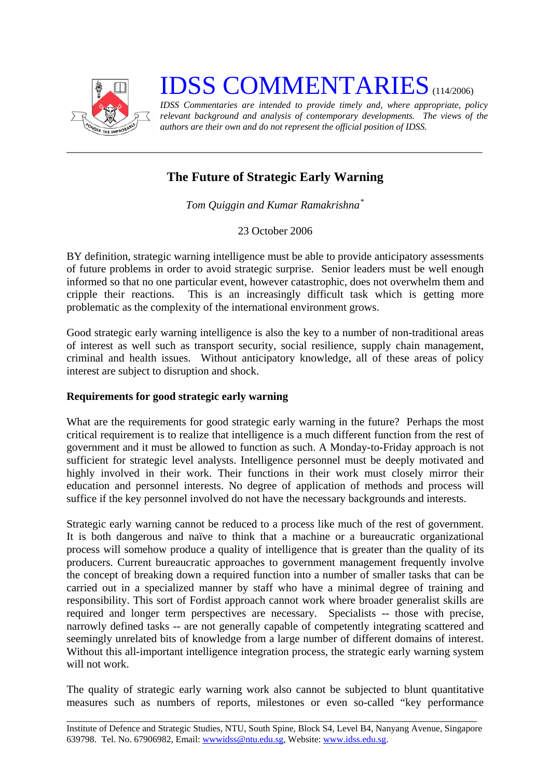

# **IDSS COMMENTARIES** (114/2006)

*IDSS Commentaries are intended to provide timely and, where appropriate, policy relevant background and analysis of contemporary developments. The views of the authors are their own and do not represent the official position of IDSS.* 

# **The Future of Strategic Early Warning**

*\_\_\_\_\_\_\_\_\_\_\_\_\_\_\_\_\_\_\_\_\_\_\_\_\_\_\_\_\_\_\_\_\_\_\_\_\_\_\_\_\_\_\_\_\_\_\_\_\_\_\_\_\_\_\_\_\_\_\_\_\_\_\_\_\_\_\_\_\_\_\_\_\_\_\_* 

*Tom Quiggin and Kumar Ramakrishna[\\*](#page-2-0)*

23 October 2006

BY definition, strategic warning intelligence must be able to provide anticipatory assessments of future problems in order to avoid strategic surprise. Senior leaders must be well enough informed so that no one particular event, however catastrophic, does not overwhelm them and cripple their reactions. This is an increasingly difficult task which is getting more problematic as the complexity of the international environment grows.

Good strategic early warning intelligence is also the key to a number of non-traditional areas of interest as well such as transport security, social resilience, supply chain management, criminal and health issues. Without anticipatory knowledge, all of these areas of policy interest are subject to disruption and shock.

## **Requirements for good strategic early warning**

What are the requirements for good strategic early warning in the future? Perhaps the most critical requirement is to realize that intelligence is a much different function from the rest of government and it must be allowed to function as such. A Monday-to-Friday approach is not sufficient for strategic level analysts. Intelligence personnel must be deeply motivated and highly involved in their work. Their functions in their work must closely mirror their education and personnel interests. No degree of application of methods and process will suffice if the key personnel involved do not have the necessary backgrounds and interests.

Strategic early warning cannot be reduced to a process like much of the rest of government. It is both dangerous and naïve to think that a machine or a bureaucratic organizational process will somehow produce a quality of intelligence that is greater than the quality of its producers. Current bureaucratic approaches to government management frequently involve the concept of breaking down a required function into a number of smaller tasks that can be carried out in a specialized manner by staff who have a minimal degree of training and responsibility. This sort of Fordist approach cannot work where broader generalist skills are required and longer term perspectives are necessary. Specialists -- those with precise, narrowly defined tasks -- are not generally capable of competently integrating scattered and seemingly unrelated bits of knowledge from a large number of different domains of interest. Without this all-important intelligence integration process, the strategic early warning system will not work.

The quality of strategic early warning work also cannot be subjected to blunt quantitative measures such as numbers of reports, milestones or even so-called "key performance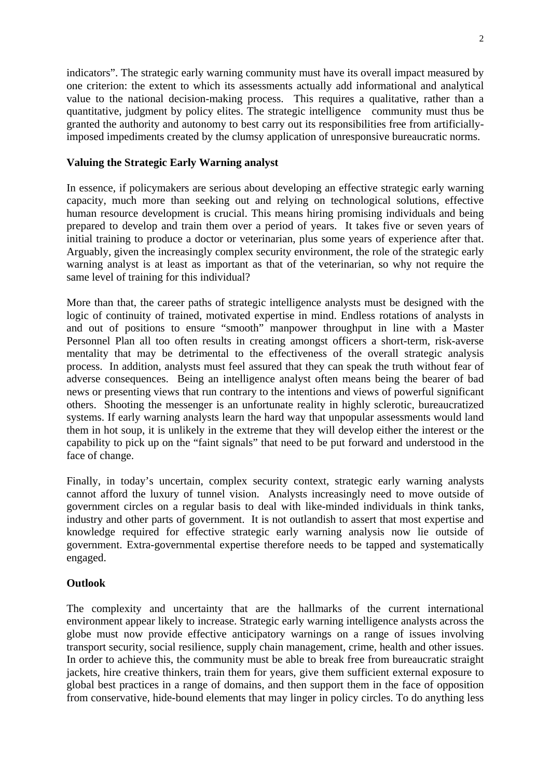indicators". The strategic early warning community must have its overall impact measured by one criterion: the extent to which its assessments actually add informational and analytical value to the national decision-making process. This requires a qualitative, rather than a quantitative, judgment by policy elites. The strategic intelligence community must thus be granted the authority and autonomy to best carry out its responsibilities free from artificiallyimposed impediments created by the clumsy application of unresponsive bureaucratic norms.

#### **Valuing the Strategic Early Warning analyst**

In essence, if policymakers are serious about developing an effective strategic early warning capacity, much more than seeking out and relying on technological solutions, effective human resource development is crucial. This means hiring promising individuals and being prepared to develop and train them over a period of years. It takes five or seven years of initial training to produce a doctor or veterinarian, plus some years of experience after that. Arguably, given the increasingly complex security environment, the role of the strategic early warning analyst is at least as important as that of the veterinarian, so why not require the same level of training for this individual?

More than that, the career paths of strategic intelligence analysts must be designed with the logic of continuity of trained, motivated expertise in mind. Endless rotations of analysts in and out of positions to ensure "smooth" manpower throughput in line with a Master Personnel Plan all too often results in creating amongst officers a short-term, risk-averse mentality that may be detrimental to the effectiveness of the overall strategic analysis process. In addition, analysts must feel assured that they can speak the truth without fear of adverse consequences. Being an intelligence analyst often means being the bearer of bad news or presenting views that run contrary to the intentions and views of powerful significant others. Shooting the messenger is an unfortunate reality in highly sclerotic, bureaucratized systems. If early warning analysts learn the hard way that unpopular assessments would land them in hot soup, it is unlikely in the extreme that they will develop either the interest or the capability to pick up on the "faint signals" that need to be put forward and understood in the face of change.

Finally, in today's uncertain, complex security context, strategic early warning analysts cannot afford the luxury of tunnel vision. Analysts increasingly need to move outside of government circles on a regular basis to deal with like-minded individuals in think tanks, industry and other parts of government. It is not outlandish to assert that most expertise and knowledge required for effective strategic early warning analysis now lie outside of government. Extra-governmental expertise therefore needs to be tapped and systematically engaged.

### **Outlook**

The complexity and uncertainty that are the hallmarks of the current international environment appear likely to increase. Strategic early warning intelligence analysts across the globe must now provide effective anticipatory warnings on a range of issues involving transport security, social resilience, supply chain management, crime, health and other issues. In order to achieve this, the community must be able to break free from bureaucratic straight jackets, hire creative thinkers, train them for years, give them sufficient external exposure to global best practices in a range of domains, and then support them in the face of opposition from conservative, hide-bound elements that may linger in policy circles. To do anything less